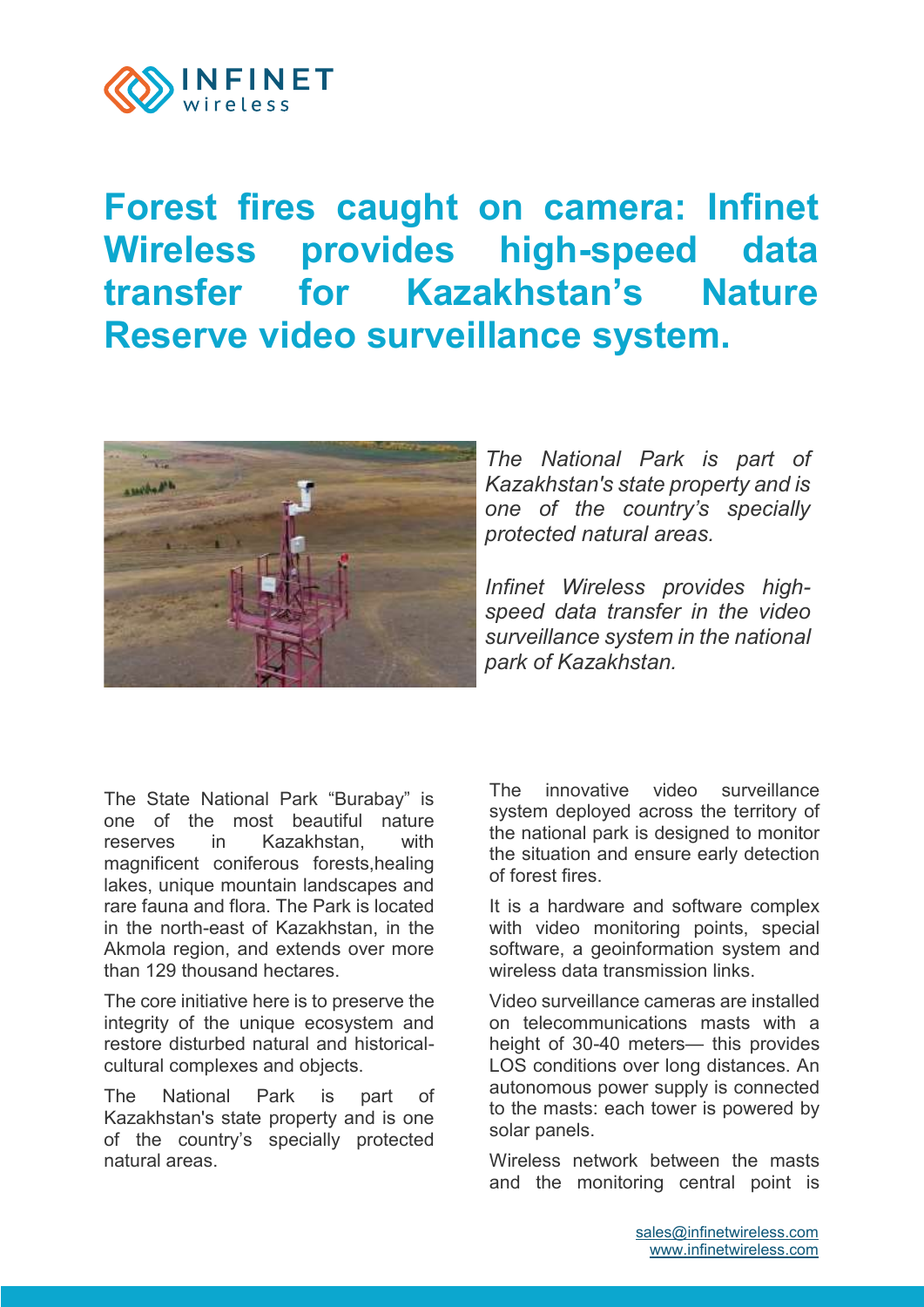

## **Forest fires caught on camera: Infinet Wireless provides high-speed data transfer for Kazakhstan's Nature Reserve video surveillance system.**



*The National Park is part of Kazakhstan's state property and is one of the country's specially protected natural areas.*

*Infinet Wireless provides highspeed data transfer in the video surveillance system in the national park of Kazakhstan.*

The State National Park "Burabay" is one of the most beautiful nature reserves in Kazakhstan with magnificent coniferous forests,healing lakes, unique mountain landscapes and rare fauna and flora. The Park is located in the north-east of Kazakhstan, in the Akmola region, and extends over more than 129 thousand hectares.

The core initiative here is to preserve the integrity of the unique ecosystem and restore disturbed natural and historicalcultural complexes and objects.

The National Park is part of Kazakhstan's state property and is one of the country's specially protected natural areas.

The innovative video surveillance system deployed across the territory of the national park is designed to monitor the situation and ensure early detection of forest fires.

It is a hardware and software complex with video monitoring points, special software, a geoinformation system and wireless data transmission links.

Video surveillance cameras are installed on telecommunications masts with a height of 30-40 meters— this provides LOS conditions over long distances. An autonomous power supply is connected to the masts: each tower is powered by solar panels.

Wireless network between the masts and the monitoring central point is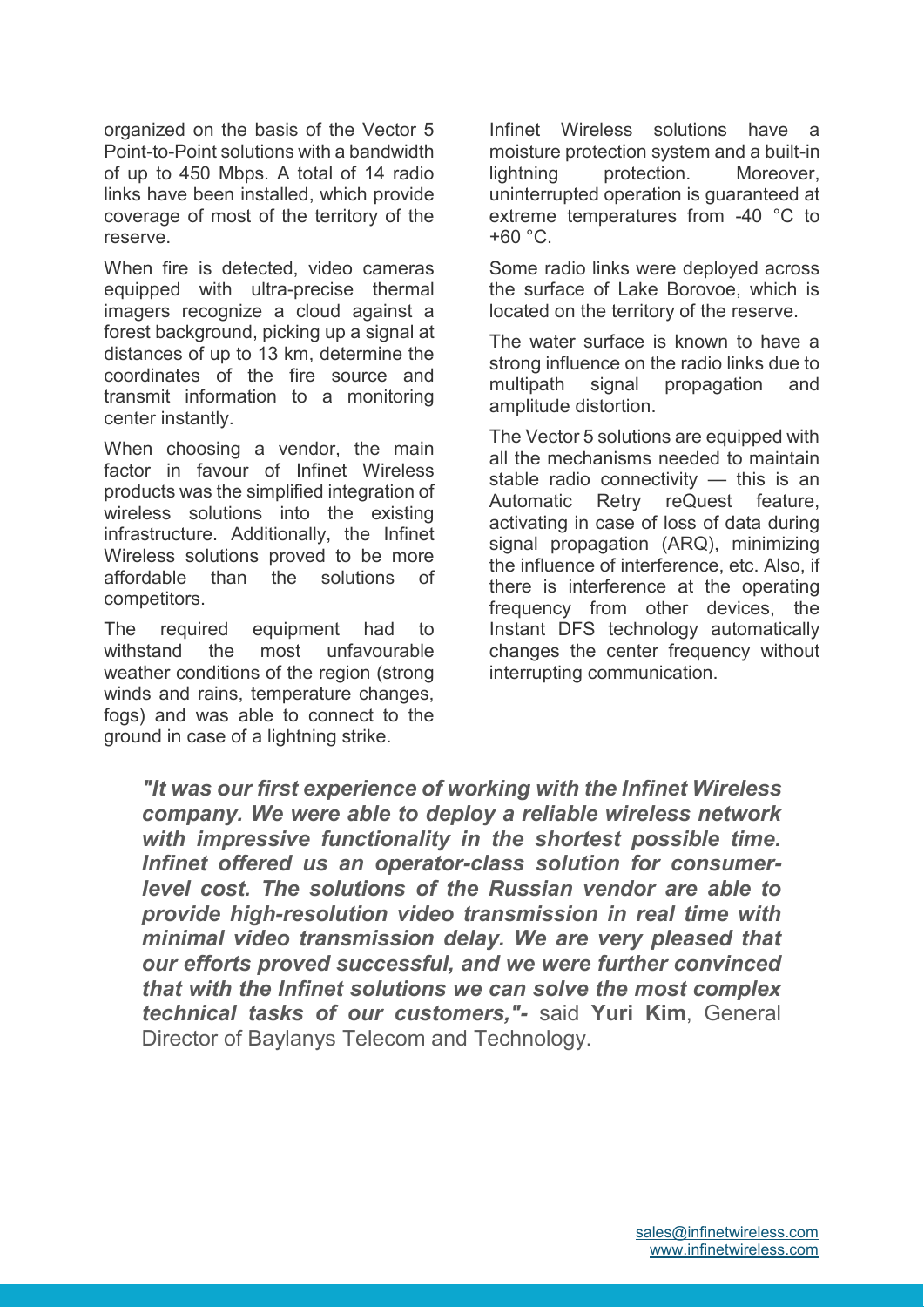organized on the basis of the Vector 5 Point-to-Point solutions with a bandwidth of up to 450 Mbps. A total of 14 radio links have been installed, which provide coverage of most of the territory of the reserve.

When fire is detected, video cameras equipped with ultra-precise thermal imagers recognize a cloud against a forest background, picking up a signal at distances of up to 13 km, determine the coordinates of the fire source and transmit information to a monitoring center instantly.

When choosing a vendor, the main factor in favour of Infinet Wireless products was the simplified integration of wireless solutions into the existing infrastructure. Additionally, the Infinet Wireless solutions proved to be more affordable than the solutions of competitors.

The required equipment had to withstand the most unfavourable weather conditions of the region (strong winds and rains, temperature changes, fogs) and was able to connect to the ground in case of a lightning strike.

Infinet Wireless solutions have a moisture protection system and a built-in lightning protection. Moreover, uninterrupted operation is guaranteed at extreme temperatures from -40 °C to  $+60 °C$ .

Some radio links were deployed across the surface of Lake Borovoe, which is located on the territory of the reserve.

The water surface is known to have a strong influence on the radio links due to multipath signal propagation and amplitude distortion.

The Vector 5 solutions are equipped with all the mechanisms needed to maintain stable radio connectivity — this is an Automatic Retry reQuest feature, activating in case of loss of data during signal propagation (ARQ), minimizing the influence of interference, etc. Also, if there is interference at the operating frequency from other devices, the Instant DFS technology automatically changes the center frequency without interrupting communication.

*"It was our first experience of working with the Infinet Wireless company. We were able to deploy a reliable wireless network with impressive functionality in the shortest possible time. Infinet offered us an operator-class solution for consumerlevel cost. The solutions of the Russian vendor are able to provide high-resolution video transmission in real time with minimal video transmission delay. We are very pleased that our efforts proved successful, and we were further convinced that with the Infinet solutions we can solve the most complex technical tasks of our customers,"-* said **Yuri Kim**, General Director of Baylanys Telecom and Technology.